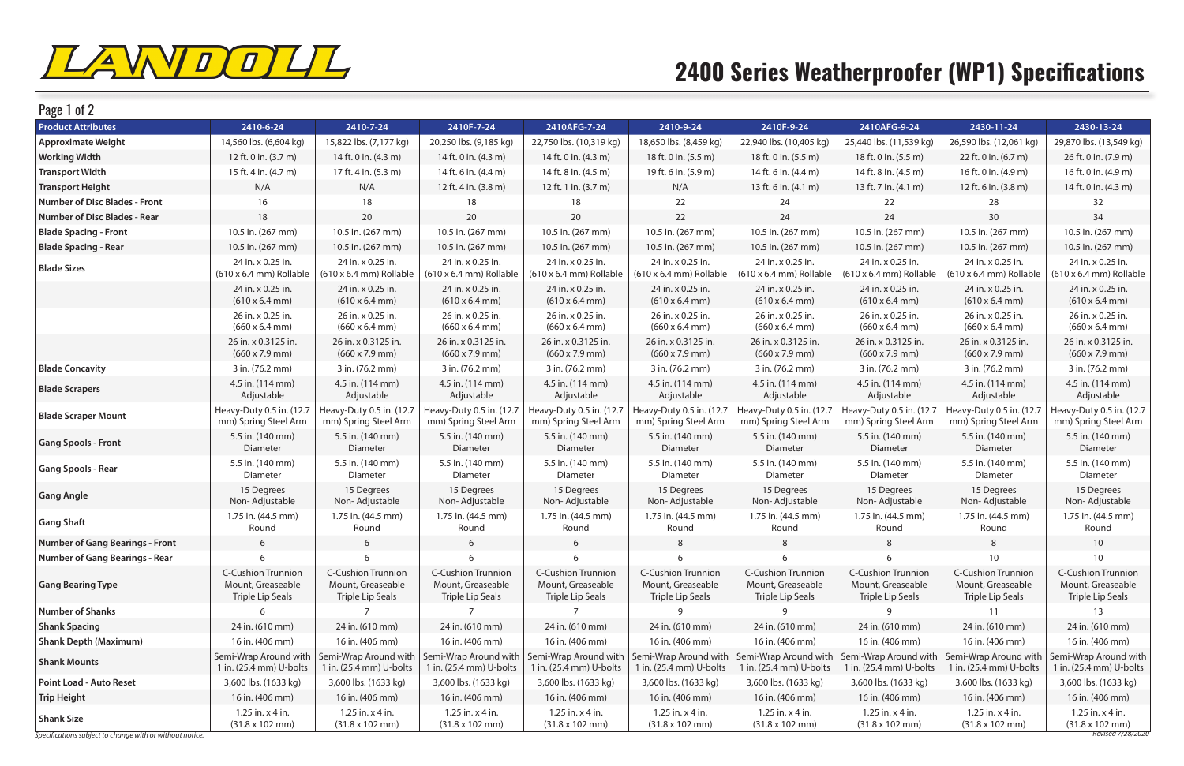

## **2400 Series Weatherproofer (WP1) Specifications**

| <b>Product Attributes</b><br>2410-6-24<br>2410-7-24<br>2410AFG-7-24<br>2410F-7-24<br>2410-9-24<br>2410F-9-24<br>2410AFG-9-24<br>2430-11-24<br>22,940 lbs. (10,405 kg)<br><b>Approximate Weight</b><br>14,560 lbs. (6,604 kg)<br>15,822 lbs. (7,177 kg)<br>20,250 lbs. (9,185 kg)<br>22,750 lbs. (10,319 kg)<br>18,650 lbs. (8,459 kg)<br>25,440 lbs. (11,539 kg)<br>26,590 lbs. (12,061 kg)<br><b>Working Width</b><br>12 ft. 0 in. (3.7 m)<br>14 ft. 0 in. (4.3 m)<br>14 ft. 0 in. (4.3 m)<br>18 ft. 0 in. (5.5 m)<br>18 ft. 0 in. (5.5 m)<br>14 ft. 0 in. (4.3 m)<br>18 ft. 0 in. (5.5 m)<br>22 ft. 0 in. (6.7 m)<br>15 ft. 4 in. (4.7 m)<br>17 ft. 4 in. (5.3 m)<br>14 ft. 6 in. (4.4 m)<br>14 ft. 8 in. (4.5 m)<br>19 ft. 6 in. (5.9 m)<br>14 ft. 6 in. (4.4 m)<br>14 ft. 8 in. (4.5 m)<br>16 ft. 0 in. (4.9 m)<br><b>Transport Width</b><br><b>Transport Height</b><br>N/A<br>N/A<br>12 ft. 4 in. (3.8 m)<br>12 ft. 1 in. (3.7 m)<br>N/A<br>12 ft. 6 in. (3.8 m)<br>13 ft. 6 in. (4.1 m)<br>13 ft. 7 in. (4.1 m)<br><b>Number of Disc Blades - Front</b><br>16<br>18<br>18<br>18<br>22<br>24<br>22<br>28<br>18<br>20<br>20<br>20<br>22<br>24<br>24<br>30<br><b>Number of Disc Blades - Rear</b><br>10.5 in. (267 mm)<br>10.5 in. (267 mm)<br>10.5 in. (267 mm)<br>10.5 in. (267 mm)<br>10.5 in. (267 mm)<br>10.5 in. (267 mm)<br><b>Blade Spacing - Front</b><br>10.5 in. (267 mm)<br>10.5 in. (267 mm)<br><b>Blade Spacing - Rear</b><br>10.5 in. (267 mm)<br>10.5 in. (267 mm)<br>10.5 in. (267 mm)<br>10.5 in. (267 mm)<br>10.5 in. (267 mm)<br>10.5 in. (267 mm)<br>10.5 in. (267 mm)<br>10.5 in. (267 mm)<br>24 in. x 0.25 in.<br>24 in. x 0.25 in.<br>24 in. x 0.25 in.<br>24 in. x 0.25 in.<br>24 in. x 0.25 in.<br>24 in. x 0.25 in.<br>24 in. x 0.25 in.<br>24 in. x 0.25 in.<br><b>Blade Sizes</b><br>$(610 \times 6.4 \text{ mm})$ Rollable<br>$(610 \times 6.4 \text{ mm})$ Rollable<br>$(610 \times 6.4 \text{ mm})$ Rollable<br>$(610 \times 6.4 \text{ mm})$ Rollable<br>$(610 \times 6.4 \text{ mm})$ Rollable<br>$(610 \times 6.4 \text{ mm})$ Rollable<br>$(610 \times 6.4 \text{ mm})$ Rollable<br>$(610 \times 6.4 \text{ mm})$ Rollable<br>24 in. x 0.25 in.<br>24 in. x 0.25 in.<br>24 in. x 0.25 in.<br>24 in. x 0.25 in.<br>24 in. x 0.25 in.<br>24 in. x 0.25 in.<br>24 in. x 0.25 in.<br>24 in. x 0.25 in.<br>$(610 \times 6.4 \text{ mm})$<br>$(610 \times 6.4 \text{ mm})$<br>$(610 \times 6.4 \text{ mm})$<br>$(610 \times 6.4 \text{ mm})$<br>$(610 \times 6.4 \text{ mm})$<br>$(610 \times 6.4 \text{ mm})$<br>$(610 \times 6.4 \text{ mm})$<br>$(610 \times 6.4 \text{ mm})$<br>26 in. x 0.25 in.<br>26 in. x 0.25 in.<br>26 in. x 0.25 in.<br>26 in. x 0.25 in.<br>26 in. x 0.25 in.<br>26 in. x 0.25 in.<br>26 in. x 0.25 in.<br>26 in. x 0.25 in.<br>$(660 \times 6.4 \text{ mm})$<br>$(660 \times 6.4 \text{ mm})$<br>$(660 \times 6.4 \text{ mm})$<br>$(660 \times 6.4 \text{ mm})$<br>$(660 \times 6.4 \text{ mm})$<br>$(660 \times 6.4 \text{ mm})$<br>$(660 \times 6.4 \text{ mm})$<br>$(660 \times 6.4 \text{ mm})$ | 2430-13-24<br>29,870 lbs. (13,549 kg)<br>26 ft. 0 in. (7.9 m)<br>16 ft. 0 in. (4.9 m)<br>14 ft. 0 in. (4.3 m)<br>32<br>34<br>10.5 in. (267 mm)<br>10.5 in. (267 mm)<br>24 in. x 0.25 in.<br>(610 x 6.4 mm) Rollable<br>24 in. x 0.25 in.<br>$(610 \times 6.4 \text{ mm})$<br>26 in. x 0.25 in.<br>$(660 \times 6.4 \text{ mm})$ |
|-------------------------------------------------------------------------------------------------------------------------------------------------------------------------------------------------------------------------------------------------------------------------------------------------------------------------------------------------------------------------------------------------------------------------------------------------------------------------------------------------------------------------------------------------------------------------------------------------------------------------------------------------------------------------------------------------------------------------------------------------------------------------------------------------------------------------------------------------------------------------------------------------------------------------------------------------------------------------------------------------------------------------------------------------------------------------------------------------------------------------------------------------------------------------------------------------------------------------------------------------------------------------------------------------------------------------------------------------------------------------------------------------------------------------------------------------------------------------------------------------------------------------------------------------------------------------------------------------------------------------------------------------------------------------------------------------------------------------------------------------------------------------------------------------------------------------------------------------------------------------------------------------------------------------------------------------------------------------------------------------------------------------------------------------------------------------------------------------------------------------------------------------------------------------------------------------------------------------------------------------------------------------------------------------------------------------------------------------------------------------------------------------------------------------------------------------------------------------------------------------------------------------------------------------------------------------------------------------------------------------------------------------------------------------------------------------------------------------------------------------------------------------------------------------------------------------------------------------------------------------------------------------------------------------------------------------------------------------------------------------------------------------------------------------------------------|---------------------------------------------------------------------------------------------------------------------------------------------------------------------------------------------------------------------------------------------------------------------------------------------------------------------------------|
|                                                                                                                                                                                                                                                                                                                                                                                                                                                                                                                                                                                                                                                                                                                                                                                                                                                                                                                                                                                                                                                                                                                                                                                                                                                                                                                                                                                                                                                                                                                                                                                                                                                                                                                                                                                                                                                                                                                                                                                                                                                                                                                                                                                                                                                                                                                                                                                                                                                                                                                                                                                                                                                                                                                                                                                                                                                                                                                                                                                                                                                                   |                                                                                                                                                                                                                                                                                                                                 |
|                                                                                                                                                                                                                                                                                                                                                                                                                                                                                                                                                                                                                                                                                                                                                                                                                                                                                                                                                                                                                                                                                                                                                                                                                                                                                                                                                                                                                                                                                                                                                                                                                                                                                                                                                                                                                                                                                                                                                                                                                                                                                                                                                                                                                                                                                                                                                                                                                                                                                                                                                                                                                                                                                                                                                                                                                                                                                                                                                                                                                                                                   |                                                                                                                                                                                                                                                                                                                                 |
|                                                                                                                                                                                                                                                                                                                                                                                                                                                                                                                                                                                                                                                                                                                                                                                                                                                                                                                                                                                                                                                                                                                                                                                                                                                                                                                                                                                                                                                                                                                                                                                                                                                                                                                                                                                                                                                                                                                                                                                                                                                                                                                                                                                                                                                                                                                                                                                                                                                                                                                                                                                                                                                                                                                                                                                                                                                                                                                                                                                                                                                                   |                                                                                                                                                                                                                                                                                                                                 |
|                                                                                                                                                                                                                                                                                                                                                                                                                                                                                                                                                                                                                                                                                                                                                                                                                                                                                                                                                                                                                                                                                                                                                                                                                                                                                                                                                                                                                                                                                                                                                                                                                                                                                                                                                                                                                                                                                                                                                                                                                                                                                                                                                                                                                                                                                                                                                                                                                                                                                                                                                                                                                                                                                                                                                                                                                                                                                                                                                                                                                                                                   |                                                                                                                                                                                                                                                                                                                                 |
|                                                                                                                                                                                                                                                                                                                                                                                                                                                                                                                                                                                                                                                                                                                                                                                                                                                                                                                                                                                                                                                                                                                                                                                                                                                                                                                                                                                                                                                                                                                                                                                                                                                                                                                                                                                                                                                                                                                                                                                                                                                                                                                                                                                                                                                                                                                                                                                                                                                                                                                                                                                                                                                                                                                                                                                                                                                                                                                                                                                                                                                                   |                                                                                                                                                                                                                                                                                                                                 |
|                                                                                                                                                                                                                                                                                                                                                                                                                                                                                                                                                                                                                                                                                                                                                                                                                                                                                                                                                                                                                                                                                                                                                                                                                                                                                                                                                                                                                                                                                                                                                                                                                                                                                                                                                                                                                                                                                                                                                                                                                                                                                                                                                                                                                                                                                                                                                                                                                                                                                                                                                                                                                                                                                                                                                                                                                                                                                                                                                                                                                                                                   |                                                                                                                                                                                                                                                                                                                                 |
|                                                                                                                                                                                                                                                                                                                                                                                                                                                                                                                                                                                                                                                                                                                                                                                                                                                                                                                                                                                                                                                                                                                                                                                                                                                                                                                                                                                                                                                                                                                                                                                                                                                                                                                                                                                                                                                                                                                                                                                                                                                                                                                                                                                                                                                                                                                                                                                                                                                                                                                                                                                                                                                                                                                                                                                                                                                                                                                                                                                                                                                                   |                                                                                                                                                                                                                                                                                                                                 |
|                                                                                                                                                                                                                                                                                                                                                                                                                                                                                                                                                                                                                                                                                                                                                                                                                                                                                                                                                                                                                                                                                                                                                                                                                                                                                                                                                                                                                                                                                                                                                                                                                                                                                                                                                                                                                                                                                                                                                                                                                                                                                                                                                                                                                                                                                                                                                                                                                                                                                                                                                                                                                                                                                                                                                                                                                                                                                                                                                                                                                                                                   |                                                                                                                                                                                                                                                                                                                                 |
|                                                                                                                                                                                                                                                                                                                                                                                                                                                                                                                                                                                                                                                                                                                                                                                                                                                                                                                                                                                                                                                                                                                                                                                                                                                                                                                                                                                                                                                                                                                                                                                                                                                                                                                                                                                                                                                                                                                                                                                                                                                                                                                                                                                                                                                                                                                                                                                                                                                                                                                                                                                                                                                                                                                                                                                                                                                                                                                                                                                                                                                                   |                                                                                                                                                                                                                                                                                                                                 |
|                                                                                                                                                                                                                                                                                                                                                                                                                                                                                                                                                                                                                                                                                                                                                                                                                                                                                                                                                                                                                                                                                                                                                                                                                                                                                                                                                                                                                                                                                                                                                                                                                                                                                                                                                                                                                                                                                                                                                                                                                                                                                                                                                                                                                                                                                                                                                                                                                                                                                                                                                                                                                                                                                                                                                                                                                                                                                                                                                                                                                                                                   |                                                                                                                                                                                                                                                                                                                                 |
|                                                                                                                                                                                                                                                                                                                                                                                                                                                                                                                                                                                                                                                                                                                                                                                                                                                                                                                                                                                                                                                                                                                                                                                                                                                                                                                                                                                                                                                                                                                                                                                                                                                                                                                                                                                                                                                                                                                                                                                                                                                                                                                                                                                                                                                                                                                                                                                                                                                                                                                                                                                                                                                                                                                                                                                                                                                                                                                                                                                                                                                                   |                                                                                                                                                                                                                                                                                                                                 |
|                                                                                                                                                                                                                                                                                                                                                                                                                                                                                                                                                                                                                                                                                                                                                                                                                                                                                                                                                                                                                                                                                                                                                                                                                                                                                                                                                                                                                                                                                                                                                                                                                                                                                                                                                                                                                                                                                                                                                                                                                                                                                                                                                                                                                                                                                                                                                                                                                                                                                                                                                                                                                                                                                                                                                                                                                                                                                                                                                                                                                                                                   |                                                                                                                                                                                                                                                                                                                                 |
| 26 in. x 0.3125 in.<br>26 in. x 0.3125 in.<br>26 in. x 0.3125 in.<br>26 in. x 0.3125 in.<br>26 in. x 0.3125 in.<br>26 in. x 0.3125 in.<br>26 in. x 0.3125 in.<br>26 in. x 0.3125 in.<br>$(660 \times 7.9 \text{ mm})$<br>$(660 \times 7.9 \text{ mm})$<br>$(660 \times 7.9 \text{ mm})$<br>$(660 \times 7.9 \text{ mm})$<br>$(660 \times 7.9 \text{ mm})$<br>$(660 \times 7.9 \text{ mm})$<br>$(660 \times 7.9 \text{ mm})$<br>$(660 \times 7.9 \text{ mm})$                                                                                                                                                                                                                                                                                                                                                                                                                                                                                                                                                                                                                                                                                                                                                                                                                                                                                                                                                                                                                                                                                                                                                                                                                                                                                                                                                                                                                                                                                                                                                                                                                                                                                                                                                                                                                                                                                                                                                                                                                                                                                                                                                                                                                                                                                                                                                                                                                                                                                                                                                                                                      | 26 in. x 0.3125 in.<br>$(660 \times 7.9 \text{ mm})$                                                                                                                                                                                                                                                                            |
| 3 in. (76.2 mm)<br>3 in. (76.2 mm)<br>3 in. (76.2 mm)<br><b>Blade Concavity</b><br>3 in. (76.2 mm)<br>3 in. (76.2 mm)<br>3 in. (76.2 mm)<br>3 in. (76.2 mm)<br>3 in. (76.2 mm)                                                                                                                                                                                                                                                                                                                                                                                                                                                                                                                                                                                                                                                                                                                                                                                                                                                                                                                                                                                                                                                                                                                                                                                                                                                                                                                                                                                                                                                                                                                                                                                                                                                                                                                                                                                                                                                                                                                                                                                                                                                                                                                                                                                                                                                                                                                                                                                                                                                                                                                                                                                                                                                                                                                                                                                                                                                                                    | 3 in. (76.2 mm)                                                                                                                                                                                                                                                                                                                 |
| 4.5 in. (114 mm)<br>4.5 in. (114 mm)<br>4.5 in. (114 mm)<br>4.5 in. (114 mm)<br>4.5 in. (114 mm)<br>4.5 in. (114 mm)<br>4.5 in. (114 mm)<br>4.5 in. (114 mm)<br><b>Blade Scrapers</b><br>Adjustable<br>Adjustable<br>Adjustable<br>Adjustable<br>Adjustable<br>Adjustable<br>Adjustable<br>Adjustable                                                                                                                                                                                                                                                                                                                                                                                                                                                                                                                                                                                                                                                                                                                                                                                                                                                                                                                                                                                                                                                                                                                                                                                                                                                                                                                                                                                                                                                                                                                                                                                                                                                                                                                                                                                                                                                                                                                                                                                                                                                                                                                                                                                                                                                                                                                                                                                                                                                                                                                                                                                                                                                                                                                                                             | 4.5 in. (114 mm)<br>Adjustable                                                                                                                                                                                                                                                                                                  |
| Heavy-Duty 0.5 in. (12.7<br>Heavy-Duty 0.5 in. (12.7<br>Heavy-Duty 0.5 in. (12.7<br>Heavy-Duty 0.5 in. (12.7<br>Heavy-Duty 0.5 in. (12.)<br>Heavy-Duty 0.5 in. (12.7<br>Heavy-Duty 0.5 in. (12.7<br>Heavy-Duty 0.5 in. (12.7<br><b>Blade Scraper Mount</b><br>mm) Spring Steel Arm<br>mm) Spring Steel Arm<br>mm) Spring Steel Arm<br>mm) Spring Steel Arm<br>mm) Spring Steel Arm<br>mm) Spring Steel Arm<br>mm) Spring Steel Arm<br>mm) Spring Steel Arm                                                                                                                                                                                                                                                                                                                                                                                                                                                                                                                                                                                                                                                                                                                                                                                                                                                                                                                                                                                                                                                                                                                                                                                                                                                                                                                                                                                                                                                                                                                                                                                                                                                                                                                                                                                                                                                                                                                                                                                                                                                                                                                                                                                                                                                                                                                                                                                                                                                                                                                                                                                                        | Heavy-Duty 0.5 in. (12.7<br>mm) Spring Steel Arm                                                                                                                                                                                                                                                                                |
| 5.5 in. (140 mm)<br>5.5 in. (140 mm)<br>5.5 in. (140 mm)<br>5.5 in. (140 mm)<br>5.5 in. (140 mm)<br>5.5 in. (140 mm)<br>5.5 in. (140 mm)<br>5.5 in. (140 mm)<br><b>Gang Spools - Front</b><br>Diameter<br>Diameter<br>Diameter<br>Diameter<br>Diameter<br>Diameter<br>Diameter<br>Diameter                                                                                                                                                                                                                                                                                                                                                                                                                                                                                                                                                                                                                                                                                                                                                                                                                                                                                                                                                                                                                                                                                                                                                                                                                                                                                                                                                                                                                                                                                                                                                                                                                                                                                                                                                                                                                                                                                                                                                                                                                                                                                                                                                                                                                                                                                                                                                                                                                                                                                                                                                                                                                                                                                                                                                                        | 5.5 in. (140 mm)<br>Diameter                                                                                                                                                                                                                                                                                                    |
| 5.5 in. (140 mm)<br>5.5 in. (140 mm)<br>5.5 in. (140 mm)<br>5.5 in. (140 mm)<br>5.5 in. (140 mm)<br>5.5 in. (140 mm)<br>5.5 in. (140 mm)<br>5.5 in. (140 mm)<br><b>Gang Spools - Rear</b><br>Diameter<br>Diameter<br>Diameter<br>Diameter<br>Diameter<br>Diameter<br>Diameter<br>Diameter                                                                                                                                                                                                                                                                                                                                                                                                                                                                                                                                                                                                                                                                                                                                                                                                                                                                                                                                                                                                                                                                                                                                                                                                                                                                                                                                                                                                                                                                                                                                                                                                                                                                                                                                                                                                                                                                                                                                                                                                                                                                                                                                                                                                                                                                                                                                                                                                                                                                                                                                                                                                                                                                                                                                                                         | 5.5 in. (140 mm)<br>Diameter                                                                                                                                                                                                                                                                                                    |
| 15 Degrees<br>15 Degrees<br>15 Degrees<br>15 Degrees<br>15 Degrees<br>15 Degrees<br>15 Degrees<br>15 Degrees<br><b>Gang Angle</b><br>Non-Adjustable<br>Non-Adjustable<br>Non-Adjustable<br>Non-Adjustable<br>Non-Adjustable<br>Non-Adjustable<br>Non-Adjustable<br>Non-Adjustable                                                                                                                                                                                                                                                                                                                                                                                                                                                                                                                                                                                                                                                                                                                                                                                                                                                                                                                                                                                                                                                                                                                                                                                                                                                                                                                                                                                                                                                                                                                                                                                                                                                                                                                                                                                                                                                                                                                                                                                                                                                                                                                                                                                                                                                                                                                                                                                                                                                                                                                                                                                                                                                                                                                                                                                 | 15 Degrees<br>Non-Adjustable                                                                                                                                                                                                                                                                                                    |
| 1.75 in. (44.5 mm)<br>1.75 in. (44.5 mm)<br>1.75 in. (44.5 mm)<br>1.75 in. (44.5 mm)<br>1.75 in. (44.5 mm)<br>1.75 in. (44.5 mm)<br>1.75 in. (44.5 mm)<br>1.75 in. (44.5 mm)<br><b>Gang Shaft</b><br>Round<br>Round<br>Round<br>Round<br>Round<br>Round<br>Round<br>Round                                                                                                                                                                                                                                                                                                                                                                                                                                                                                                                                                                                                                                                                                                                                                                                                                                                                                                                                                                                                                                                                                                                                                                                                                                                                                                                                                                                                                                                                                                                                                                                                                                                                                                                                                                                                                                                                                                                                                                                                                                                                                                                                                                                                                                                                                                                                                                                                                                                                                                                                                                                                                                                                                                                                                                                         | 1.75 in. (44.5 mm)<br>Round                                                                                                                                                                                                                                                                                                     |
| <b>Number of Gang Bearings - Front</b><br>8<br>8<br>8<br>6<br>6<br>6<br>6<br>8                                                                                                                                                                                                                                                                                                                                                                                                                                                                                                                                                                                                                                                                                                                                                                                                                                                                                                                                                                                                                                                                                                                                                                                                                                                                                                                                                                                                                                                                                                                                                                                                                                                                                                                                                                                                                                                                                                                                                                                                                                                                                                                                                                                                                                                                                                                                                                                                                                                                                                                                                                                                                                                                                                                                                                                                                                                                                                                                                                                    | 10                                                                                                                                                                                                                                                                                                                              |
| $10$<br><b>Number of Gang Bearings - Rear</b><br>6<br>6                                                                                                                                                                                                                                                                                                                                                                                                                                                                                                                                                                                                                                                                                                                                                                                                                                                                                                                                                                                                                                                                                                                                                                                                                                                                                                                                                                                                                                                                                                                                                                                                                                                                                                                                                                                                                                                                                                                                                                                                                                                                                                                                                                                                                                                                                                                                                                                                                                                                                                                                                                                                                                                                                                                                                                                                                                                                                                                                                                                                           | $10$                                                                                                                                                                                                                                                                                                                            |
| <b>C-Cushion Trunnion</b><br><b>C-Cushion Trunnion</b><br><b>C-Cushion Trunnion</b><br><b>C-Cushion Trunnion</b><br><b>C-Cushion Trunnion</b><br><b>C-Cushion Trunnion</b><br><b>C-Cushion Trunnion</b><br><b>C-Cushion Trunnion</b><br>Mount, Greaseable<br>Mount, Greaseable<br>Mount, Greaseable<br>Mount, Greaseable<br>Mount, Greaseable<br>Mount, Greaseable<br>Mount, Greaseable<br>Mount, Greaseable<br><b>Gang Bearing Type</b><br>Triple Lip Seals<br>Triple Lip Seals<br>Triple Lip Seals<br>Triple Lip Seals<br>Triple Lip Seals<br>Triple Lip Seals<br>Triple Lip Seals<br>Triple Lip Seals                                                                                                                                                                                                                                                                                                                                                                                                                                                                                                                                                                                                                                                                                                                                                                                                                                                                                                                                                                                                                                                                                                                                                                                                                                                                                                                                                                                                                                                                                                                                                                                                                                                                                                                                                                                                                                                                                                                                                                                                                                                                                                                                                                                                                                                                                                                                                                                                                                                          | <b>C-Cushion Trunnion</b><br>Mount, Greaseable<br>Triple Lip Seals                                                                                                                                                                                                                                                              |
| <b>Number of Shanks</b>                                                                                                                                                                                                                                                                                                                                                                                                                                                                                                                                                                                                                                                                                                                                                                                                                                                                                                                                                                                                                                                                                                                                                                                                                                                                                                                                                                                                                                                                                                                                                                                                                                                                                                                                                                                                                                                                                                                                                                                                                                                                                                                                                                                                                                                                                                                                                                                                                                                                                                                                                                                                                                                                                                                                                                                                                                                                                                                                                                                                                                           | 13                                                                                                                                                                                                                                                                                                                              |
| 24 in. (610 mm)<br>24 in. (610 mm)<br>24 in. (610 mm)<br>24 in. (610 mm)<br><b>Shank Spacing</b><br>24 in. (610 mm)<br>24 in. (610 mm)<br>24 in. (610 mm)<br>24 in. (610 mm)                                                                                                                                                                                                                                                                                                                                                                                                                                                                                                                                                                                                                                                                                                                                                                                                                                                                                                                                                                                                                                                                                                                                                                                                                                                                                                                                                                                                                                                                                                                                                                                                                                                                                                                                                                                                                                                                                                                                                                                                                                                                                                                                                                                                                                                                                                                                                                                                                                                                                                                                                                                                                                                                                                                                                                                                                                                                                      | 24 in. (610 mm)                                                                                                                                                                                                                                                                                                                 |
| <b>Shank Depth (Maximum)</b><br>16 in. (406 mm)<br>16 in. (406 mm)<br>16 in. (406 mm)<br>16 in. (406 mm)<br>16 in. (406 mm)<br>16 in. (406 mm)<br>16 in. (406 mm)<br>16 in. (406 mm)                                                                                                                                                                                                                                                                                                                                                                                                                                                                                                                                                                                                                                                                                                                                                                                                                                                                                                                                                                                                                                                                                                                                                                                                                                                                                                                                                                                                                                                                                                                                                                                                                                                                                                                                                                                                                                                                                                                                                                                                                                                                                                                                                                                                                                                                                                                                                                                                                                                                                                                                                                                                                                                                                                                                                                                                                                                                              | 16 in. (406 mm)                                                                                                                                                                                                                                                                                                                 |
| Semi-Wrap Around with<br>Semi-Wrap Around with<br>Semi-Wrap Around with<br>Semi-Wrap Around with   Semi-Wrap Around with  <br>Semi-Wrap Around with   Semi-Wrap Around with<br>Semi-Wrap Around with   Semi-Wrap Around with<br><b>Shank Mounts</b><br>1 in. (25.4 mm) U-bolts<br>1 in. (25.4 mm) U-bolts<br>1 in. (25.4 mm) U-bolts<br>1 in. (25.4 mm) U-bolts<br>1 in. (25.4 mm) U-bolts<br>1 in. (25.4 mm) U-bolts<br>1 in. (25.4 mm) U-bolts<br>1 in. (25.4 mm) U-bolts                                                                                                                                                                                                                                                                                                                                                                                                                                                                                                                                                                                                                                                                                                                                                                                                                                                                                                                                                                                                                                                                                                                                                                                                                                                                                                                                                                                                                                                                                                                                                                                                                                                                                                                                                                                                                                                                                                                                                                                                                                                                                                                                                                                                                                                                                                                                                                                                                                                                                                                                                                                       | 1 in. (25.4 mm) U-bolts                                                                                                                                                                                                                                                                                                         |
| <b>Point Load - Auto Reset</b><br>3,600 lbs. (1633 kg)<br>3,600 lbs. (1633 kg)<br>3,600 lbs. (1633 kg)<br>3,600 lbs. (1633 kg)<br>3,600 lbs. (1633 kg)<br>3,600 lbs. (1633 kg)<br>3,600 lbs. (1633 kg)<br>3,600 lbs. (1633 kg)                                                                                                                                                                                                                                                                                                                                                                                                                                                                                                                                                                                                                                                                                                                                                                                                                                                                                                                                                                                                                                                                                                                                                                                                                                                                                                                                                                                                                                                                                                                                                                                                                                                                                                                                                                                                                                                                                                                                                                                                                                                                                                                                                                                                                                                                                                                                                                                                                                                                                                                                                                                                                                                                                                                                                                                                                                    | 3,600 lbs. (1633 kg)                                                                                                                                                                                                                                                                                                            |
| <b>Trip Height</b><br>16 in. (406 mm)<br>16 in. (406 mm)<br>16 in. (406 mm)<br>16 in. (406 mm)<br>16 in. (406 mm)<br>16 in. (406 mm)<br>16 in. (406 mm)<br>16 in. (406 mm)                                                                                                                                                                                                                                                                                                                                                                                                                                                                                                                                                                                                                                                                                                                                                                                                                                                                                                                                                                                                                                                                                                                                                                                                                                                                                                                                                                                                                                                                                                                                                                                                                                                                                                                                                                                                                                                                                                                                                                                                                                                                                                                                                                                                                                                                                                                                                                                                                                                                                                                                                                                                                                                                                                                                                                                                                                                                                        | 16 in. (406 mm)                                                                                                                                                                                                                                                                                                                 |
| 1.25 in. x 4 in.<br>1.25 in. x 4 in.<br>1.25 in. x 4 in.<br>1.25 in. x 4 in.<br>1.25 in. x 4 in.<br>1.25 in. x 4 in.<br>1.25 in. x 4 in.<br>1.25 in. x 4 in.<br><b>Shank Size</b><br>$(31.8 \times 102 \text{ mm})$<br>$(31.8 \times 102 \text{ mm})$<br>$(31.8 \times 102 \text{ mm})$<br>$(31.8 \times 102 \text{ mm})$<br>$(31.8 \times 102 \text{ mm})$<br>$(31.8 \times 102 \text{ mm})$<br>$(31.8 \times 102 \text{ mm})$<br>$(31.8 \times 102 \text{ mm})$<br>Specifications subject to change with or without notice.                                                                                                                                                                                                                                                                                                                                                                                                                                                                                                                                                                                                                                                                                                                                                                                                                                                                                                                                                                                                                                                                                                                                                                                                                                                                                                                                                                                                                                                                                                                                                                                                                                                                                                                                                                                                                                                                                                                                                                                                                                                                                                                                                                                                                                                                                                                                                                                                                                                                                                                                     | 1.25 in. x 4 in.                                                                                                                                                                                                                                                                                                                |